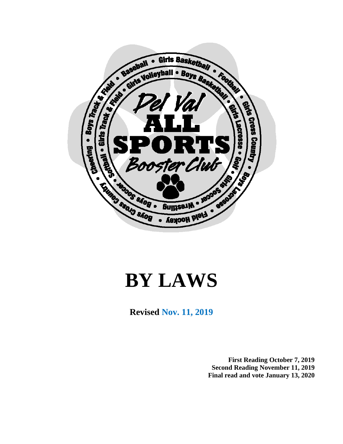

# **BY LAWS**

**Revised Nov. 11, 2019**

**First Reading October 7, 2019 Second Reading November 11, 2019 Final read and vote January 13, 2020**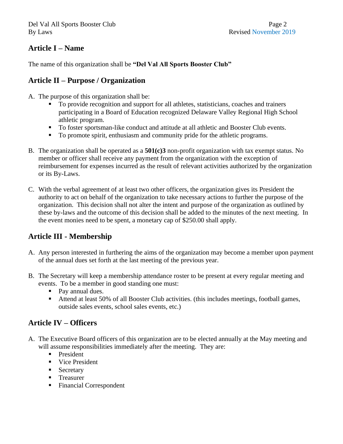### **Article I – Name**

The name of this organization shall be **"Del Val All Sports Booster Club"**

### **Article II – Purpose / Organization**

- A. The purpose of this organization shall be:
	- To provide recognition and support for all athletes, statisticians, coaches and trainers participating in a Board of Education recognized Delaware Valley Regional High School athletic program.
	- To foster sportsman-like conduct and attitude at all athletic and Booster Club events.
	- To promote spirit, enthusiasm and community pride for the athletic programs.
- B. The organization shall be operated as a **501(c)3** non-profit organization with tax exempt status. No member or officer shall receive any payment from the organization with the exception of reimbursement for expenses incurred as the result of relevant activities authorized by the organization or its By-Laws.
- C. With the verbal agreement of at least two other officers, the organization gives its President the authority to act on behalf of the organization to take necessary actions to further the purpose of the organization. This decision shall not alter the intent and purpose of the organization as outlined by these by-laws and the outcome of this decision shall be added to the minutes of the next meeting. In the event monies need to be spent, a monetary cap of \$250.00 shall apply.

# **Article III - Membership**

- A. Any person interested in furthering the aims of the organization may become a member upon payment of the annual dues set forth at the last meeting of the previous year.
- B. The Secretary will keep a membership attendance roster to be present at every regular meeting and events. To be a member in good standing one must:
	- Pay annual dues.
	- Attend at least 50% of all Booster Club activities. (this includes meetings, football games, outside sales events, school sales events, etc.)

# **Article IV – Officers**

- A. The Executive Board officers of this organization are to be elected annually at the May meeting and will assume responsibilities immediately after the meeting. They are:
	- **President**
	- Vice President
	- **Exercise Secretary**
	- Treasurer
	- Financial Correspondent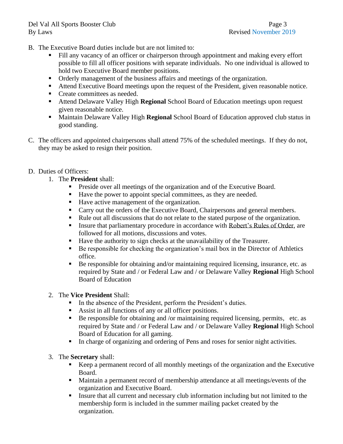- B. The Executive Board duties include but are not limited to:
	- Fill any vacancy of an officer or chairperson through appointment and making every effort possible to fill all officer positions with separate individuals. No one individual is allowed to hold two Executive Board member positions.
	- Orderly management of the business affairs and meetings of the organization.
	- Attend Executive Board meetings upon the request of the President, given reasonable notice.
	- Create committees as needed.
	- Attend Delaware Valley High **Regional** School Board of Education meetings upon request given reasonable notice.
	- Maintain Delaware Valley High **Regional** School Board of Education approved club status in good standing.
- C. The officers and appointed chairpersons shall attend 75% of the scheduled meetings. If they do not, they may be asked to resign their position.
- D. Duties of Officers:
	- 1. The **President** shall:
		- **•** Preside over all meetings of the organization and of the Executive Board.
		- Have the power to appoint special committees, as they are needed.
		- Have active management of the organization.
		- Carry out the orders of the Executive Board, Chairpersons and general members.
		- Rule out all discussions that do not relate to the stated purpose of the organization.
		- **Example 1** Insure that parliamentary procedure in accordance with Robert's Rules of Order, are followed for all motions, discussions and votes.
		- Have the authority to sign checks at the unavailability of the Treasurer.
		- Be responsible for checking the organization's mail box in the Director of Athletics office.
		- Be responsible for obtaining and/or maintaining required licensing, insurance, etc. as required by State and / or Federal Law and / or Delaware Valley **Regional** High School Board of Education
	- 2. The **Vice President** Shall:
		- In the absence of the President, perform the President's duties.
		- Assist in all functions of any or all officer positions.
		- Be responsible for obtaining and /or maintaining required licensing, permits, etc. as required by State and / or Federal Law and / or Delaware Valley **Regional** High School Board of Education for all gaming.
		- In charge of organizing and ordering of Pens and roses for senior night activities.
	- 3. The **Secretary** shall:
		- Keep a permanent record of all monthly meetings of the organization and the Executive Board.
		- Maintain a permanent record of membership attendance at all meetings/events of the organization and Executive Board.
		- Insure that all current and necessary club information including but not limited to the membership form is included in the summer mailing packet created by the organization.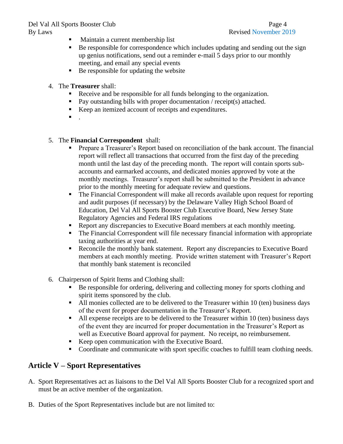### Del Val All Sports Booster Club Page 4 By Laws Revised November 2019

- Maintain a current membership list
- Be responsible for correspondence which includes updating and sending out the sign up genius notifications, send out a reminder e-mail 5 days prior to our monthly meeting, and email any special events
- Be responsible for updating the website
- 4. The **Treasurer** shall:
	- Receive and be responsible for all funds belonging to the organization.
	- Pay outstanding bills with proper documentation / receipt(s) attached.
	- Keep an itemized account of receipts and expenditures.
	- $\blacksquare$

5. The **Financial Correspondent** shall:

- Prepare a Treasurer's Report based on reconciliation of the bank account. The financial report will reflect all transactions that occurred from the first day of the preceding month until the last day of the preceding month. The report will contain sports subaccounts and earmarked accounts, and dedicated monies approved by vote at the monthly meetings. Treasurer's report shall be submitted to the President in advance prior to the monthly meeting for adequate review and questions.
- The Financial Correspondent will make all records available upon request for reporting and audit purposes (if necessary) by the Delaware Valley High School Board of Education, Del Val All Sports Booster Club Executive Board, New Jersey State Regulatory Agencies and Federal IRS regulations
- Report any discrepancies to Executive Board members at each monthly meeting.
- The Financial Correspondent will file necessary financial information with appropriate taxing authorities at year end.
- Reconcile the monthly bank statement. Report any discrepancies to Executive Board members at each monthly meeting. Provide written statement with Treasurer's Report that monthly bank statement is reconciled
- 6. Chairperson of Spirit Items and Clothing shall:
	- Be responsible for ordering, delivering and collecting money for sports clothing and spirit items sponsored by the club.
	- All monies collected are to be delivered to the Treasurer within 10 (ten) business days of the event for proper documentation in the Treasurer's Report.
	- All expense receipts are to be delivered to the Treasurer within 10 (ten) business days of the event they are incurred for proper documentation in the Treasurer's Report as well as Executive Board approval for payment. No receipt, no reimbursement.
	- Keep open communication with the Executive Board.
	- Coordinate and communicate with sport specific coaches to fulfill team clothing needs.

# **Article V – Sport Representatives**

- A. Sport Representatives act as liaisons to the Del Val All Sports Booster Club for a recognized sport and must be an active member of the organization.
- B. Duties of the Sport Representatives include but are not limited to: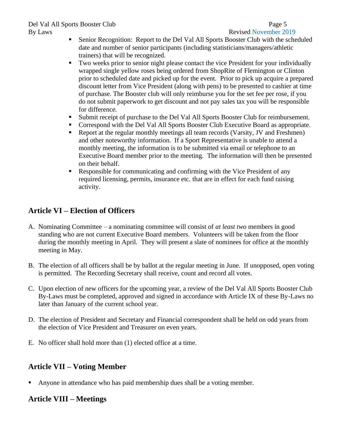### Del Val All Sports Booster Club Page 5 By Laws Revised November 2019

- Senior Recognition: Report to the Del Val All Sports Booster Club with the scheduled date and number of senior participants (including statisticians/managers/athletic trainers) that will be recognized.
- Two weeks prior to senior night please contact the vice President for your individually wrapped single yellow roses being ordered from ShopRite of Flemington or Clinton prior to scheduled date and picked up for the event. Prior to pick up acquire a prepared discount letter from Vice President (along with pens) to be presented to cashier at time of purchase. The Booster club will only reimburse you for the set fee per rose, if you do not submit paperwork to get discount and not pay sales tax you will be responsible for difference.
- Submit receipt of purchase to the Del Val All Sports Booster Club for reimbursement.
- Correspond with the Del Val All Sports Booster Club Executive Board as appropriate.
- Report at the regular monthly meetings all team records (Varsity, JV and Freshmen) and other noteworthy information. If a Sport Representative is unable to attend a monthly meeting, the information is to be submitted via email or telephone to an Executive Board member prior to the meeting. The information will then be presented on their behalf.
- **Responsible for communicating and confirming with the Vice President of any** required licensing, permits, insurance etc. that are in effect for each fund raising activity.

# **Article VI – Election of Officers**

- A. Nominating Committee a nominating committee will consist of *at least two* members in good standing who are not current Executive Board members. Volunteers will be taken from the floor during the monthly meeting in April. They will present a slate of nominees for office at the monthly meeting in May.
- B. The election of all officers shall be by ballot at the regular meeting in June. If unopposed, open voting is permitted. The Recording Secretary shall receive, count and record all votes.
- C. Upon election of new officers for the upcoming year, a review of the Del Val All Sports Booster Club By-Laws must be completed, approved and signed in accordance with Article IX of these By-Laws no later than January of the current school year.
- D. The election of President and Secretary and Financial correspondent shall be held on odd years from the election of Vice President and Treasurer on even years.
- E. No officer shall hold more than (1) elected office at a time.

# **Article VII – Voting Member**

**•** Anyone in attendance who has paid membership dues shall be a voting member.

# **Article VIII – Meetings**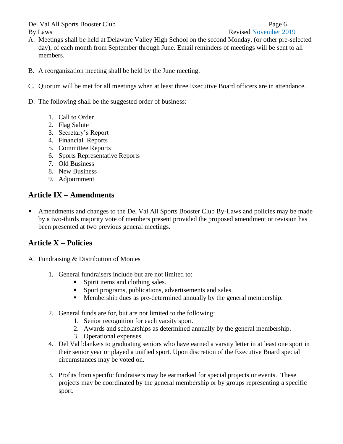Del Val All Sports Booster Club Page 6 By Laws **Revised November 2019** 

- A. Meetings shall be held at Delaware Valley High School on the second Monday, (or other pre-selected day), of each month from September through June. Email reminders of meetings will be sent to all members.
- B. A reorganization meeting shall be held by the June meeting.
- C. Quorum will be met for all meetings when at least three Executive Board officers are in attendance.
- D. The following shall be the suggested order of business:
	- 1. Call to Order
	- 2. Flag Salute
	- 3. Secretary's Report
	- 4. Financial Reports
	- 5. Committee Reports
	- 6. Sports Representative Reports
	- 7. Old Business
	- 8. New Business
	- 9. Adjournment

# **Article IX – Amendments**

**EXECUTE:** Amendments and changes to the Del Val All Sports Booster Club By-Laws and policies may be made by a two-thirds majority vote of members present provided the proposed amendment or revision has been presented at two previous general meetings.

# **Article X – Policies**

- A. Fundraising & Distribution of Monies
	- 1. General fundraisers include but are not limited to:
		- **•** Spirit items and clothing sales.
		- **•** Sport programs, publications, advertisements and sales.
		- Membership dues as pre-determined annually by the general membership.
	- 2. General funds are for, but are not limited to the following:
		- 1. Senior recognition for each varsity sport.
		- 2. Awards and scholarships as determined annually by the general membership.
		- 3. Operational expenses.
	- 4. Del Val blankets to graduating seniors who have earned a varsity letter in at least one sport in their senior year or played a unified sport. Upon discretion of the Executive Board special circumstances may be voted on.
	- 3. Profits from specific fundraisers may be earmarked for special projects or events. These projects may be coordinated by the general membership or by groups representing a specific sport.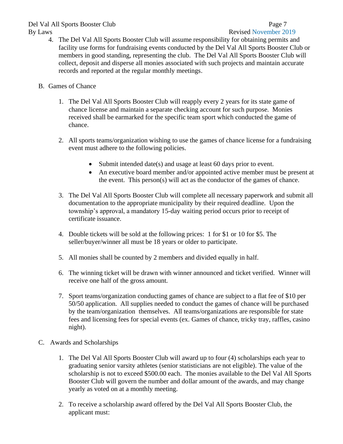### Del Val All Sports Booster Club Page 7 By Laws **Revised November 2019**

- 4. The Del Val All Sports Booster Club will assume responsibility for obtaining permits and facility use forms for fundraising events conducted by the Del Val All Sports Booster Club or members in good standing, representing the club. The Del Val All Sports Booster Club will collect, deposit and disperse all monies associated with such projects and maintain accurate records and reported at the regular monthly meetings.
- B. Games of Chance
	- 1. The Del Val All Sports Booster Club will reapply every 2 years for its state game of chance license and maintain a separate checking account for such purpose. Monies received shall be earmarked for the specific team sport which conducted the game of chance.
	- 2. All sports teams/organization wishing to use the games of chance license for a fundraising event must adhere to the following policies.
		- Submit intended date(s) and usage at least 60 days prior to event.
		- An executive board member and/or appointed active member must be present at the event. This person(s) will act as the conductor of the games of chance.
	- 3. The Del Val All Sports Booster Club will complete all necessary paperwork and submit all documentation to the appropriate municipality by their required deadline. Upon the township's approval, a mandatory 15-day waiting period occurs prior to receipt of certificate issuance.
	- 4. Double tickets will be sold at the following prices: 1 for \$1 or 10 for \$5. The seller/buyer/winner all must be 18 years or older to participate.
	- 5. All monies shall be counted by 2 members and divided equally in half.
	- 6. The winning ticket will be drawn with winner announced and ticket verified. Winner will receive one half of the gross amount.
	- 7. Sport teams/organization conducting games of chance are subject to a flat fee of \$10 per 50/50 application. All supplies needed to conduct the games of chance will be purchased by the team/organization themselves. All teams/organizations are responsible for state fees and licensing fees for special events (ex. Games of chance, tricky tray, raffles, casino night).
- C. Awards and Scholarships
	- 1. The Del Val All Sports Booster Club will award up to four (4) scholarships each year to graduating senior varsity athletes (senior statisticians are not eligible). The value of the scholarship is not to exceed \$500.00 each. The monies available to the Del Val All Sports Booster Club will govern the number and dollar amount of the awards, and may change yearly as voted on at a monthly meeting.
	- 2. To receive a scholarship award offered by the Del Val All Sports Booster Club, the applicant must: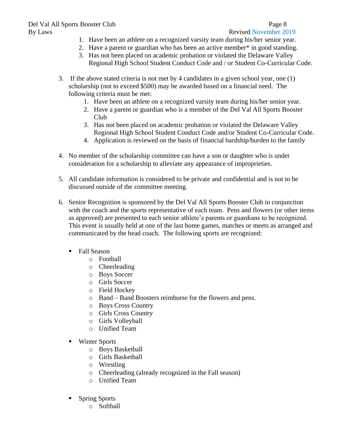- 1. Have been an athlete on a recognized varsity team during his/her senior year.
- 2. Have a parent or guardian who has been an active member\* in good standing.
- 3. Has not been placed on academic probation or violated the Delaware Valley Regional High School Student Conduct Code and / or Student Co-Curricular Code.
- 3. If the above stated criteria is not met by 4 candidates in a given school year, one (1) scholarship (not to exceed \$500) may be awarded based on a financial need. The following criteria must be met:
	- 1. Have been an athlete on a recognized varsity team during his/her senior year.
	- 2. Have a parent or guardian who is a member of the Del Val All Sports Booster Club
	- 3. Has not been placed on academic probation or violated the Delaware Valley Regional High School Student Conduct Code and/or Student Co-Curricular Code.
	- 4. Application is reviewed on the basis of financial hardship/burden to the family
- 4. No member of the scholarship committee can have a son or daughter who is under consideration for a scholarship to alleviate any appearance of improprieties.
- 5. All candidate information is considered to be private and confidential and is not to be discussed outside of the committee meeting.
- 6. Senior Recognition is sponsored by the Del Val All Sports Booster Club in conjunction with the coach and the sports representative of each team. Pens and flowers (or other items as approved) are presented to each senior athlete's parents or guardians to be recognized. This event is usually held at one of the last home games, matches or meets as arranged and communicated by the head coach. The following sports are recognized:
	- Fall Season
		- o Football
		- o Cheerleading
		- o Boys Soccer
		- o Girls Soccer
		- o Field Hockey
		- o Band Band Boosters reimburse for the flowers and pens.
		- o Boys Cross Country
		- o Girls Cross Country
		- o Girls Volleyball
		- o Unified Team
	- Winter Sports
		- o Boys Basketball
		- o Girls Basketball
		- o Wrestling
		- o Cheerleading (already recognized in the Fall season)
		- o Unified Team
	- **Spring Sports** 
		- o Softball